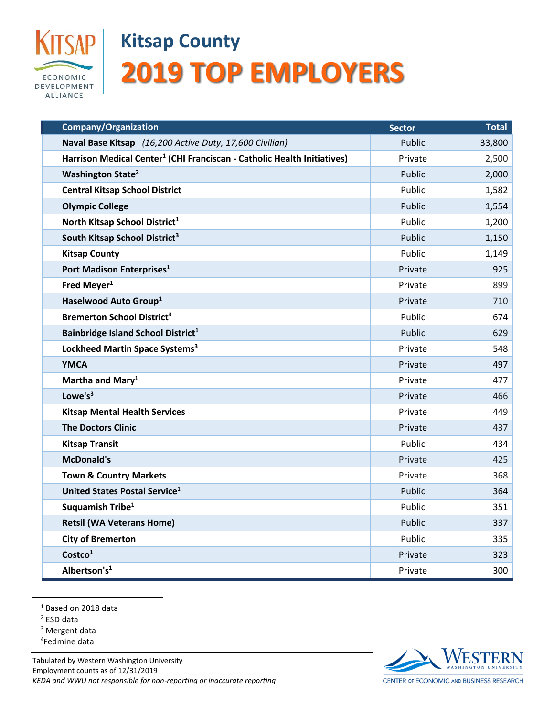

## **Kitsap County 2019 TOP EMPLOYERS**

| <b>Company/Organization</b>                                                         | <b>Sector</b> | <b>Total</b> |
|-------------------------------------------------------------------------------------|---------------|--------------|
| Naval Base Kitsap (16,200 Active Duty, 17,600 Civilian)                             | Public        | 33,800       |
| Harrison Medical Center <sup>1</sup> (CHI Franciscan - Catholic Health Initiatives) | Private       | 2,500        |
| <b>Washington State<sup>2</sup></b>                                                 | Public        | 2,000        |
| <b>Central Kitsap School District</b>                                               | Public        | 1,582        |
| <b>Olympic College</b>                                                              | Public        | 1,554        |
| North Kitsap School District <sup>1</sup>                                           | Public        | 1,200        |
| South Kitsap School District <sup>3</sup>                                           | Public        | 1,150        |
| <b>Kitsap County</b>                                                                | Public        | 1,149        |
| Port Madison Enterprises <sup>1</sup>                                               | Private       | 925          |
| Fred Meyer <sup>1</sup>                                                             | Private       | 899          |
| Haselwood Auto Group <sup>1</sup>                                                   | Private       | 710          |
| <b>Bremerton School District<sup>3</sup></b>                                        | Public        | 674          |
| Bainbridge Island School District <sup>1</sup>                                      | Public        | 629          |
| Lockheed Martin Space Systems <sup>3</sup>                                          | Private       | 548          |
| <b>YMCA</b>                                                                         | Private       | 497          |
| Martha and Mary <sup>1</sup>                                                        | Private       | 477          |
| Lowe's <sup>3</sup>                                                                 | Private       | 466          |
| <b>Kitsap Mental Health Services</b>                                                | Private       | 449          |
| <b>The Doctors Clinic</b>                                                           | Private       | 437          |
| <b>Kitsap Transit</b>                                                               | Public        | 434          |
| <b>McDonald's</b>                                                                   | Private       | 425          |
| <b>Town &amp; Country Markets</b>                                                   | Private       | 368          |
| United States Postal Service <sup>1</sup>                                           | Public        | 364          |
| Suquamish Tribe <sup>1</sup>                                                        | Public        | 351          |
| <b>Retsil (WA Veterans Home)</b>                                                    | Public        | 337          |
| <b>City of Bremerton</b>                                                            | Public        | 335          |
| Costco <sup>1</sup>                                                                 | Private       | 323          |
| Albertson's <sup>1</sup>                                                            | Private       | 300          |

<sup>1</sup> Based on 2018 data

<sup>2</sup> ESD data

<sup>3</sup> Mergent data

4 Fedmine data

Tabulated by Western Washington University Employment counts as of 12/31/2019 *KEDA and WWU not responsible for non-reporting or inaccurate reporting*